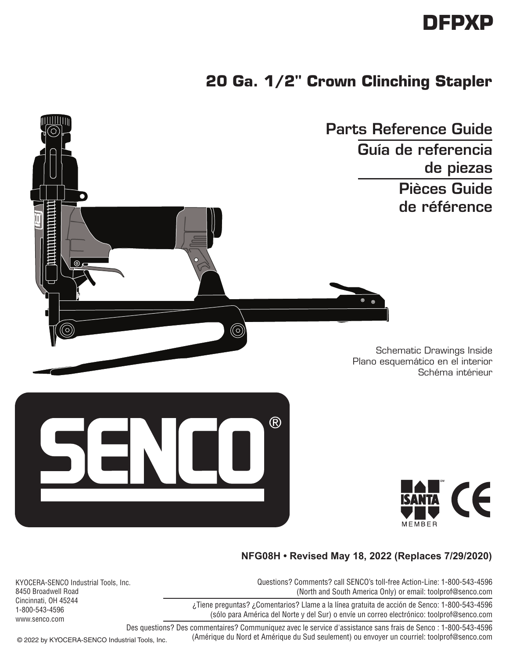## **DFPXP**

## **20 Ga. 1/2" Crown Clinching Stapler**



Schematic Drawings Inside Plano esquemático en el interior Schéma intérieur





 $\circledcirc$ 

## **NFG08H • Revised May 18, 2022 (Replaces 7/29/2020)**

 $\odot$ 

Questions? Comments? call SENCO's toll-free Action-Line: 1-800-543-4596 (North and South America Only) or email: toolprof@senco.com

¿Tiene preguntas? ¿Comentarios? Llame a la línea gratuita de acción de Senco: 1-800-543-4596 (sólo para América del Norte y del Sur) o envíe un correo electrónico: toolprof@senco.com

KYOCERA-SENCO Industrial Tools, Inc. 8450 Broadwell Road Cincinnati, OH 45244 1-800-543-4596 www.senco.com

> Des questions? Des commentaires? Communiquez avec le service d'assistance sans frais de Senco : 1-800-543-4596 (Amérique du Nord et Amérique du Sud seulement) ou envoyer un courriel: toolprof@senco.com

© 2022 by KYOCERA-SENCO Industrial Tools, Inc.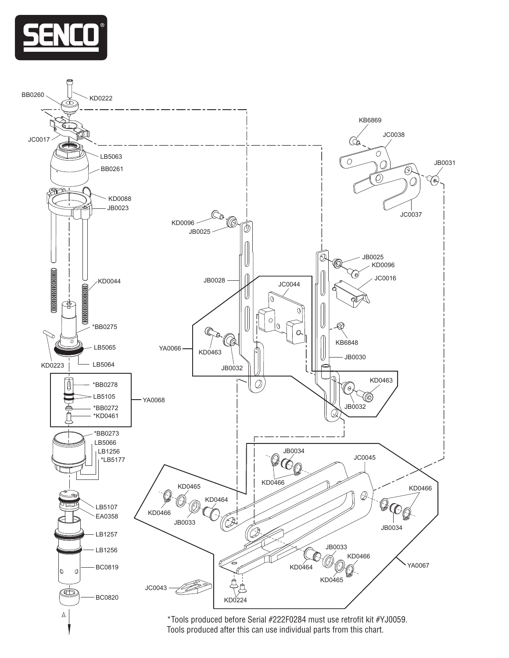

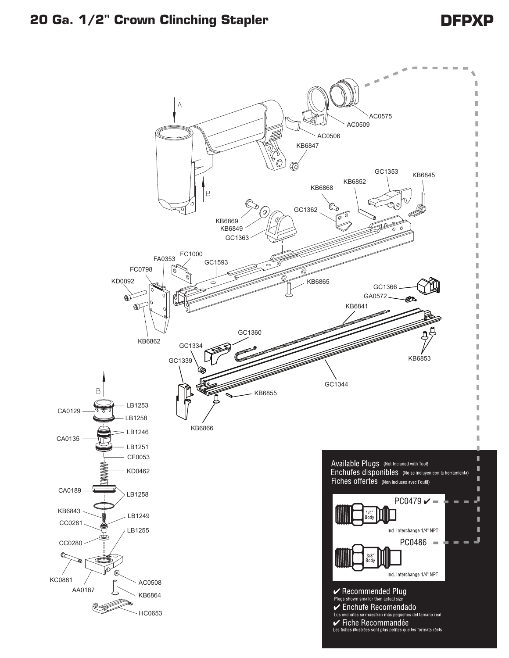